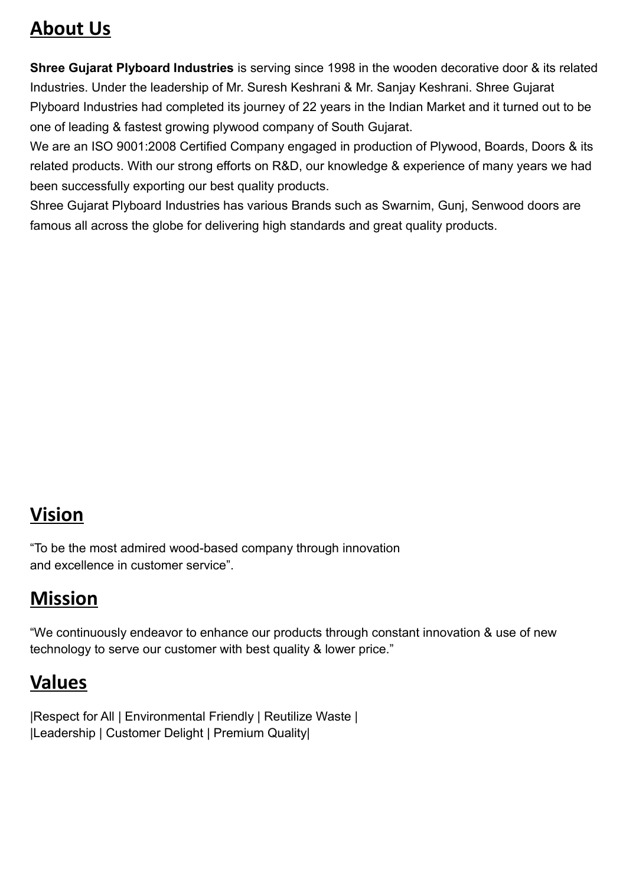### **About Us**

**Shree Gujarat Plyboard Industries** is serving since 1998 in the wooden decorative door & its related Industries. Under the leadership of Mr. Suresh Keshrani & Mr. Sanjay Keshrani. Shree Gujarat Plyboard Industries had completed its journey of 22 years in the Indian Market and it turned out to be one of leading & fastest growing plywood company of South Gujarat.

We are an ISO 9001:2008 Certified Company engaged in production of Plywood, Boards, Doors & its related products. With our strong efforts on R&D, our knowledge & experience of many years we had been successfully exporting our best quality products.

Shree Gujarat Plyboard Industries has various Brands such as Swarnim, Gunj, Senwood doors are famous all across the globe for delivering high standards and great quality products.

## **Vision**

"To be the most admired wood-based company through innovation and excellence in customer service".

# **Mission**

"We continuously endeavor to enhance our products through constant innovation & use of new technology to serve our customer with best quality & lower price."

## **Values**

|Respect for All | Environmental Friendly | Reutilize Waste | |Leadership | Customer Delight | Premium Quality|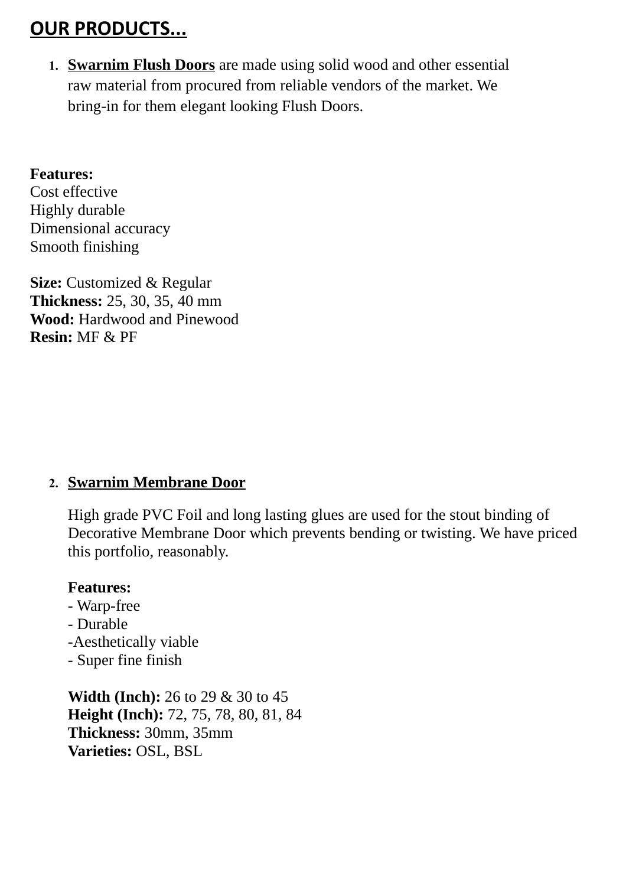## **OUR PRODUCTS...**

**1. Swarnim Flush Doors** are made using solid wood and other essential raw material from procured from reliable vendors of the market. We bring-in for them elegant looking Flush Doors.

#### **Features:**

Cost effective Highly durable Dimensional accuracy Smooth finishing

**Size:** Customized & Regular **Thickness:** 25, 30, 35, 40 mm **Wood:** Hardwood and Pinewood **Resin:** MF & PF

#### **2. Swarnim Membrane Door**

High grade PVC Foil and long lasting glues are used for the stout binding of Decorative Membrane Door which prevents bending or twisting. We have priced this portfolio, reasonably.

#### **Features:**

- Warp-free
- Durable
- -Aesthetically viable
- Super fine finish

**Width (Inch):** 26 to 29 & 30 to 45 **Height (Inch):** 72, 75, 78, 80, 81, 84 **Thickness:** 30mm, 35mm **Varieties:** OSL, BSL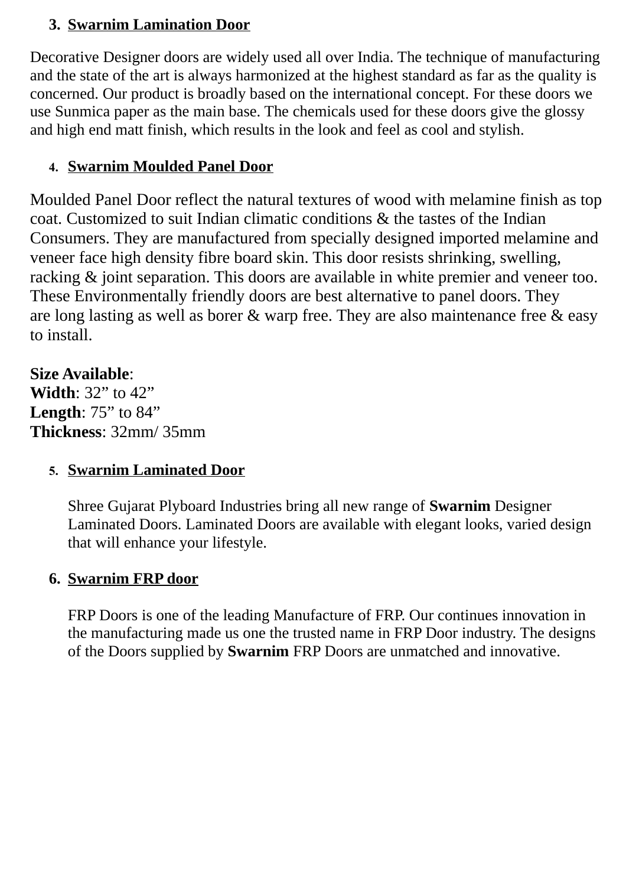#### **3. Swarnim Lamination Door**

Decorative Designer doors are widely used all over India. The technique of manufacturing and the state of the art is always harmonized at the highest standard as far as the quality is concerned. Our product is broadly based on the international concept. For these doors we use Sunmica paper as the main base. The chemicals used for these doors give the glossy and high end matt finish, which results in the look and feel as cool and stylish.

### **4. Swarnim Moulded Panel Door**

Moulded Panel Door reflect the natural textures of wood with melamine finish as top coat. Customized to suit Indian climatic conditions & the tastes of the Indian Consumers. They are manufactured from specially designed imported melamine and veneer face high density fibre board skin. This door resists shrinking, swelling, racking & joint separation. This doors are available in white premier and veneer too. These Environmentally friendly doors are best alternative to panel doors. They are long lasting as well as borer & warp free. They are also maintenance free & easy to install.

### **Size Available**:

**Width**: 32" to 42" **Length**: 75" to 84" **Thickness**: 32mm/ 35mm

### **5. Swarnim Laminated Door**

Shree Gujarat Plyboard Industries bring all new range of **Swarnim** Designer Laminated Doors. Laminated Doors are available with elegant looks, varied design that will enhance your lifestyle.

#### **6. Swarnim FRP door**

FRP Doors is one of the leading Manufacture of FRP. Our continues innovation in the manufacturing made us one the trusted name in FRP Door industry. The designs of the Doors supplied by **Swarnim** FRP Doors are unmatched and innovative.